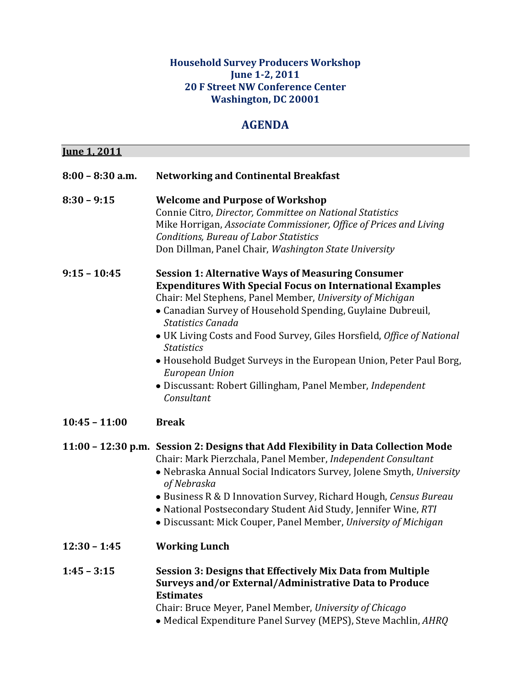## **Household Survey Producers Workshop June 1-2, 2011 20 F Street NW Conference Center Washington, DC 20001**

## **AGENDA**

| <u>Iune 1, 2011</u> |                                                                                                                                                                                                                                                                                                                                                                                                                                                                                                                                                         |
|---------------------|---------------------------------------------------------------------------------------------------------------------------------------------------------------------------------------------------------------------------------------------------------------------------------------------------------------------------------------------------------------------------------------------------------------------------------------------------------------------------------------------------------------------------------------------------------|
| 8:00 - 8:30 a.m.    | <b>Networking and Continental Breakfast</b>                                                                                                                                                                                                                                                                                                                                                                                                                                                                                                             |
| $8:30 - 9:15$       | <b>Welcome and Purpose of Workshop</b><br>Connie Citro, Director, Committee on National Statistics<br>Mike Horrigan, Associate Commissioner, Office of Prices and Living<br>Conditions, Bureau of Labor Statistics<br>Don Dillman, Panel Chair, Washington State University                                                                                                                                                                                                                                                                             |
| $9:15 - 10:45$      | <b>Session 1: Alternative Ways of Measuring Consumer</b><br><b>Expenditures With Special Focus on International Examples</b><br>Chair: Mel Stephens, Panel Member, University of Michigan<br>• Canadian Survey of Household Spending, Guylaine Dubreuil,<br>Statistics Canada<br>• UK Living Costs and Food Survey, Giles Horsfield, Office of National<br><b>Statistics</b><br>• Household Budget Surveys in the European Union, Peter Paul Borg,<br><b>European Union</b><br>• Discussant: Robert Gillingham, Panel Member, Independent<br>Consultant |
| $10:45 - 11:00$     | <b>Break</b>                                                                                                                                                                                                                                                                                                                                                                                                                                                                                                                                            |
|                     | 11:00 - 12:30 p.m. Session 2: Designs that Add Flexibility in Data Collection Mode<br>Chair: Mark Pierzchala, Panel Member, Independent Consultant<br>• Nebraska Annual Social Indicators Survey, Jolene Smyth, University<br>of Nebraska<br>• Business R & D Innovation Survey, Richard Hough, Census Bureau<br>• National Postsecondary Student Aid Study, Jennifer Wine, RTI<br>• Discussant: Mick Couper, Panel Member, University of Michigan                                                                                                      |
| $12:30 - 1:45$      | <b>Working Lunch</b>                                                                                                                                                                                                                                                                                                                                                                                                                                                                                                                                    |
| $1:45 - 3:15$       | <b>Session 3: Designs that Effectively Mix Data from Multiple</b><br>Surveys and/or External/Administrative Data to Produce<br><b>Estimates</b><br>Chair: Bruce Meyer, Panel Member, University of Chicago<br>· Medical Expenditure Panel Survey (MEPS), Steve Machlin, AHRQ                                                                                                                                                                                                                                                                            |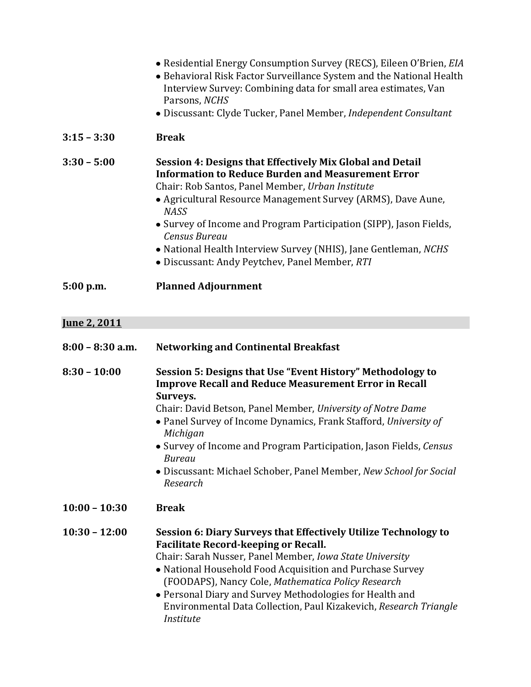|                     | • Residential Energy Consumption Survey (RECS), Eileen O'Brien, EIA<br>• Behavioral Risk Factor Surveillance System and the National Health<br>Interview Survey: Combining data for small area estimates, Van<br>Parsons, NCHS<br>• Discussant: Clyde Tucker, Panel Member, Independent Consultant                                                                                                                                                                                  |
|---------------------|-------------------------------------------------------------------------------------------------------------------------------------------------------------------------------------------------------------------------------------------------------------------------------------------------------------------------------------------------------------------------------------------------------------------------------------------------------------------------------------|
| $3:15 - 3:30$       | <b>Break</b>                                                                                                                                                                                                                                                                                                                                                                                                                                                                        |
| $3:30 - 5:00$       | <b>Session 4: Designs that Effectively Mix Global and Detail</b><br><b>Information to Reduce Burden and Measurement Error</b><br>Chair: Rob Santos, Panel Member, Urban Institute<br>• Agricultural Resource Management Survey (ARMS), Dave Aune,<br><b>NASS</b><br>• Survey of Income and Program Participation (SIPP), Jason Fields,<br><b>Census Bureau</b><br>· National Health Interview Survey (NHIS), Jane Gentleman, NCHS<br>• Discussant: Andy Peytchev, Panel Member, RTI |
| 5:00 p.m.           | <b>Planned Adjournment</b>                                                                                                                                                                                                                                                                                                                                                                                                                                                          |
| <u>Iune 2, 2011</u> |                                                                                                                                                                                                                                                                                                                                                                                                                                                                                     |
| $8:00 - 8:30$ a.m.  | <b>Networking and Continental Breakfast</b>                                                                                                                                                                                                                                                                                                                                                                                                                                         |
| $8:30 - 10:00$      | Session 5: Designs that Use "Event History" Methodology to<br><b>Improve Recall and Reduce Measurement Error in Recall</b><br>Surveys.<br>Chair: David Betson, Panel Member, University of Notre Dame<br>• Panel Survey of Income Dynamics, Frank Stafford, University of<br>Michigan<br>• Survey of Income and Program Participation, Jason Fields, Census<br><b>Bureau</b><br>• Discussant: Michael Schober, Panel Member, New School for Social<br>Research                      |
| $10:00 - 10:30$     | <b>Break</b>                                                                                                                                                                                                                                                                                                                                                                                                                                                                        |
| $10:30 - 12:00$     | Session 6: Diary Surveys that Effectively Utilize Technology to<br><b>Facilitate Record-keeping or Recall.</b><br>Chair: Sarah Nusser, Panel Member, Iowa State University<br>• National Household Food Acquisition and Purchase Survey<br>(FOODAPS), Nancy Cole, Mathematica Policy Research<br>Depend Diemand Current Methodologies for Health and                                                                                                                                |

Personal Diary and Survey Methodologies for Health and Environmental Data Collection, Paul Kizakevich, *Research Triangle Institute*